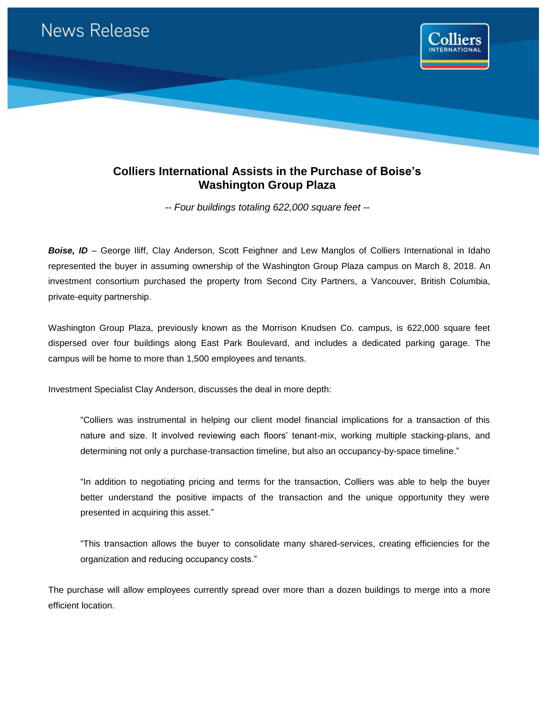

## **Colliers International Assists in the Purchase of Boise's Washington Group Plaza**

*-- Four buildings totaling 622,000 square feet --*

**Boise, ID** – George Iliff, Clay Anderson, Scott Feighner and Lew Manglos of Colliers International in Idaho represented the buyer in assuming ownership of the Washington Group Plaza campus on March 8, 2018. An investment consortium purchased the property from Second City Partners, a Vancouver, British Columbia, private-equity partnership.

Washington Group Plaza, previously known as the Morrison Knudsen Co. campus, is 622,000 square feet dispersed over four buildings along East Park Boulevard, and includes a dedicated parking garage. The campus will be home to more than 1,500 employees and tenants.

Investment Specialist Clay Anderson, discusses the deal in more depth:

"Colliers was instrumental in helping our client model financial implications for a transaction of this nature and size. It involved reviewing each floors' tenant-mix, working multiple stacking-plans, and determining not only a purchase-transaction timeline, but also an occupancy-by-space timeline."

"In addition to negotiating pricing and terms for the transaction, Colliers was able to help the buyer better understand the positive impacts of the transaction and the unique opportunity they were presented in acquiring this asset."

"This transaction allows the buyer to consolidate many shared-services, creating efficiencies for the organization and reducing occupancy costs."

The purchase will allow employees currently spread over more than a dozen buildings to merge into a more efficient location.